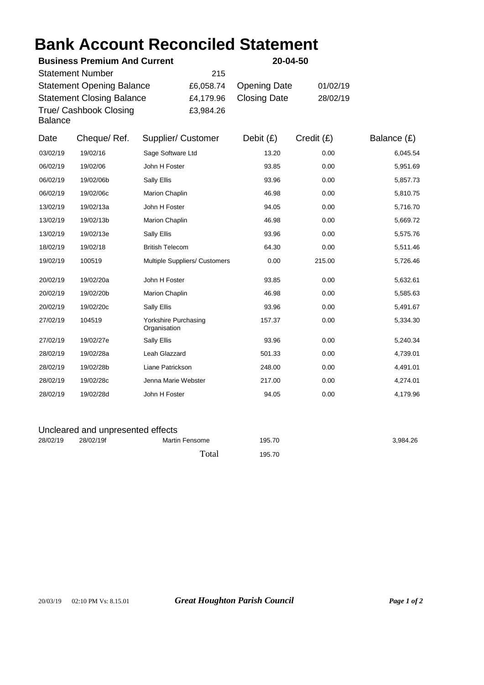## **Bank Account Reconciled Statement**

| <b>Business Premium And Current</b><br><b>Statement Number</b><br>215                                            |             |                                      |                                     | 20-04-50                                   |                      |               |  |  |
|------------------------------------------------------------------------------------------------------------------|-------------|--------------------------------------|-------------------------------------|--------------------------------------------|----------------------|---------------|--|--|
| <b>Statement Opening Balance</b><br><b>Statement Closing Balance</b><br>True/ Cashbook Closing<br><b>Balance</b> |             |                                      | £6,058.74<br>£4,179.96<br>£3,984.26 | <b>Opening Date</b><br><b>Closing Date</b> | 01/02/19<br>28/02/19 |               |  |  |
| Date                                                                                                             | Cheque/Ref. | Supplier/ Customer                   |                                     | Debit $(E)$                                | Credit(E)            | Balance $(E)$ |  |  |
| 03/02/19                                                                                                         | 19/02/16    | Sage Software Ltd                    |                                     | 13.20                                      | 0.00                 | 6,045.54      |  |  |
| 06/02/19                                                                                                         | 19/02/06    | John H Foster                        |                                     | 93.85                                      | 0.00                 | 5,951.69      |  |  |
| 06/02/19                                                                                                         | 19/02/06b   | Sally Ellis                          |                                     | 93.96                                      | 0.00                 | 5,857.73      |  |  |
| 06/02/19                                                                                                         | 19/02/06c   | Marion Chaplin                       |                                     | 46.98                                      | 0.00                 | 5,810.75      |  |  |
| 13/02/19                                                                                                         | 19/02/13a   | John H Foster                        |                                     | 94.05                                      | 0.00                 | 5,716.70      |  |  |
| 13/02/19                                                                                                         | 19/02/13b   | Marion Chaplin                       |                                     | 46.98                                      | 0.00                 | 5,669.72      |  |  |
| 13/02/19                                                                                                         | 19/02/13e   | Sally Ellis                          |                                     | 93.96                                      | 0.00                 | 5,575.76      |  |  |
| 18/02/19                                                                                                         | 19/02/18    | <b>British Telecom</b>               |                                     | 64.30                                      | 0.00                 | 5,511.46      |  |  |
| 19/02/19                                                                                                         | 100519      | Multiple Suppliers/ Customers        |                                     | 0.00                                       | 215.00               | 5,726.46      |  |  |
| 20/02/19                                                                                                         | 19/02/20a   | John H Foster                        |                                     | 93.85                                      | 0.00                 | 5,632.61      |  |  |
| 20/02/19                                                                                                         | 19/02/20b   | Marion Chaplin                       |                                     | 46.98                                      | 0.00                 | 5,585.63      |  |  |
| 20/02/19                                                                                                         | 19/02/20c   | Sally Ellis                          |                                     | 93.96                                      | 0.00                 | 5,491.67      |  |  |
| 27/02/19                                                                                                         | 104519      | Yorkshire Purchasing<br>Organisation |                                     | 157.37                                     | 0.00                 | 5,334.30      |  |  |
| 27/02/19                                                                                                         | 19/02/27e   | Sally Ellis                          |                                     | 93.96                                      | 0.00                 | 5,240.34      |  |  |
| 28/02/19                                                                                                         | 19/02/28a   | Leah Glazzard                        |                                     | 501.33                                     | 0.00                 | 4,739.01      |  |  |
| 28/02/19                                                                                                         | 19/02/28b   | Liane Patrickson                     |                                     | 248.00                                     | 0.00                 | 4,491.01      |  |  |
| 28/02/19                                                                                                         | 19/02/28c   | Jenna Marie Webster                  |                                     | 217.00                                     | 0.00                 | 4,274.01      |  |  |
| 28/02/19                                                                                                         | 19/02/28d   | John H Foster                        |                                     | 94.05                                      | 0.00                 | 4,179.96      |  |  |
| Uncleared and unpresented effects                                                                                |             |                                      |                                     |                                            |                      |               |  |  |

| 28/02/19 | 28/02/19f | <b>Martin Fensome</b> | 195.70 | 3.984.26 |  |  |  |
|----------|-----------|-----------------------|--------|----------|--|--|--|
|          |           | Total                 | 195.70 |          |  |  |  |

20/03/19 02:10 PM Vs: 8.15.01 *Great Houghton Parish Council Page 1 of 2*